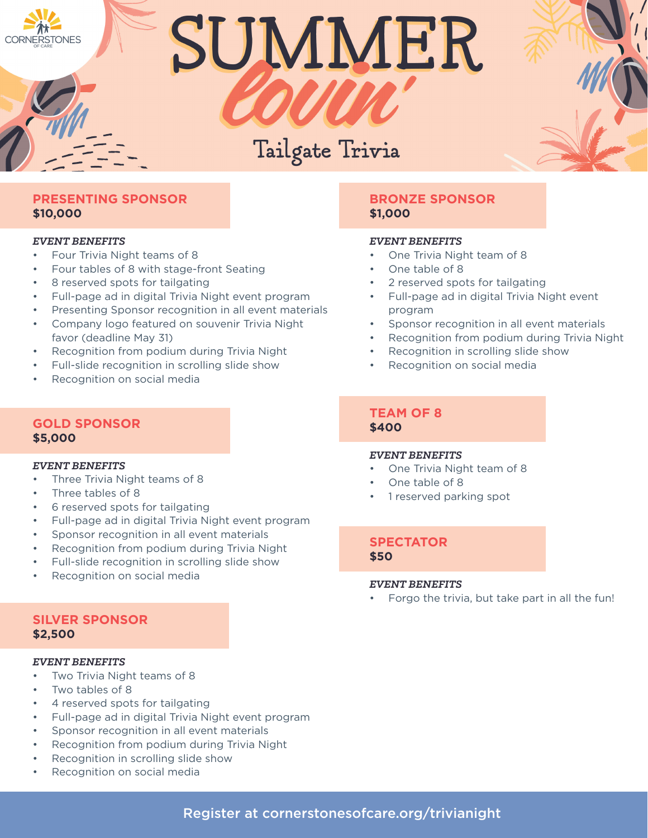# SUMMER

# Tailgate Trivia

# **PRESENTING SPONSOR \$10,000**

#### *EVENT BENEFITS*

- Four Trivia Night teams of 8
- Four tables of 8 with stage-front Seating
- 8 reserved spots for tailgating
- Full-page ad in digital Trivia Night event program
- Presenting Sponsor recognition in all event materials
- Company logo featured on souvenir Trivia Night favor (deadline May 31)
- Recognition from podium during Trivia Night
- Full-slide recognition in scrolling slide show
- Recognition on social media

### **GOLD SPONSOR \$5,000**

#### *EVENT BENEFITS*

- Three Trivia Night teams of 8
- Three tables of 8
- 6 reserved spots for tailgating
- Full-page ad in digital Trivia Night event program
- Sponsor recognition in all event materials
- Recognition from podium during Trivia Night
- Full-slide recognition in scrolling slide show
- Recognition on social media

# **SILVER SPONSOR \$2,500**

#### *EVENT BENEFITS*

- Two Trivia Night teams of 8
- Two tables of 8
- 4 reserved spots for tailgating
- Full-page ad in digital Trivia Night event program
- Sponsor recognition in all event materials
- Recognition from podium during Trivia Night
- Recognition in scrolling slide show
- Recognition on social media

# **BRONZE SPONSOR \$1,000**

#### *EVENT BENEFITS*

- One Trivia Night team of 8
- One table of 8
- 2 reserved spots for tailgating
- Full-page ad in digital Trivia Night event program
- Sponsor recognition in all event materials
- Recognition from podium during Trivia Night
- Recognition in scrolling slide show
- Recognition on social media

## **TEAM OF 8 \$400**

#### *EVENT BENEFITS*

- One Trivia Night team of 8
- One table of 8
- 1 reserved parking spot

**SPECTATOR \$50**

#### *EVENT BENEFITS*

• Forgo the trivia, but take part in all the fun!